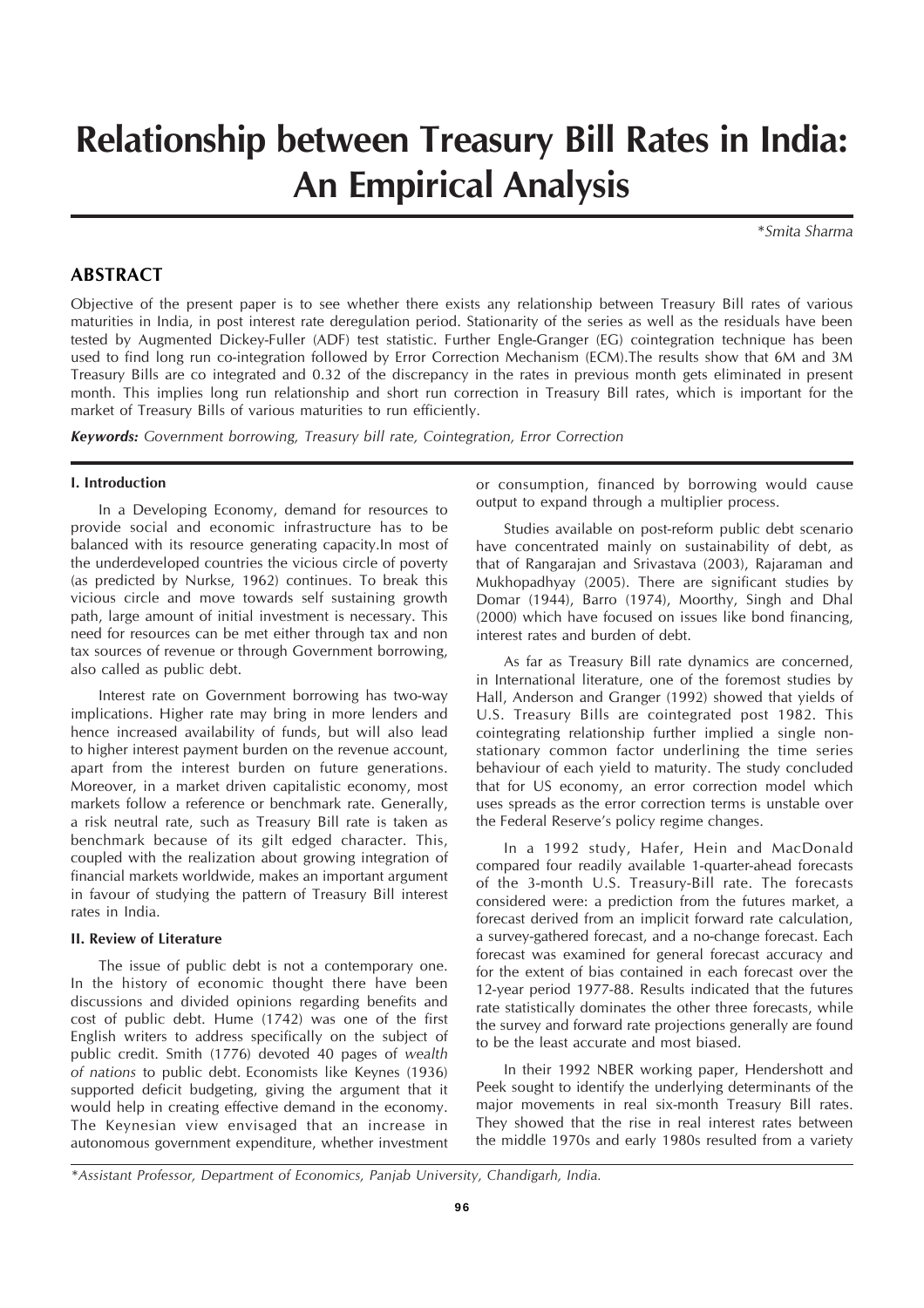# **Relationship between Treasury Bill Rates in India: An Empirical Analysis**

*\*Smita Sharma*

# **ABSTRACT**

Objective of the present paper is to see whether there exists any relationship between Treasury Bill rates of various maturities in India, in post interest rate deregulation period. Stationarity of the series as well as the residuals have been tested by Augmented Dickey-Fuller (ADF) test statistic. Further Engle-Granger (EG) cointegration technique has been used to find long run co-integration followed by Error Correction Mechanism (ECM).The results show that 6M and 3M Treasury Bills are co integrated and 0.32 of the discrepancy in the rates in previous month gets eliminated in present month. This implies long run relationship and short run correction in Treasury Bill rates, which is important for the market of Treasury Bills of various maturities to run efficiently.

*Keywords: Government borrowing, Treasury bill rate, Cointegration, Error Correction*

#### **I. Introduction**

In a Developing Economy, demand for resources to provide social and economic infrastructure has to be balanced with its resource generating capacity.In most of the underdeveloped countries the vicious circle of poverty (as predicted by Nurkse, 1962) continues. To break this vicious circle and move towards self sustaining growth path, large amount of initial investment is necessary. This need for resources can be met either through tax and non tax sources of revenue or through Government borrowing, also called as public debt.

Interest rate on Government borrowing has two-way implications. Higher rate may bring in more lenders and hence increased availability of funds, but will also lead to higher interest payment burden on the revenue account, apart from the interest burden on future generations. Moreover, in a market driven capitalistic economy, most markets follow a reference or benchmark rate. Generally, a risk neutral rate, such as Treasury Bill rate is taken as benchmark because of its gilt edged character. This, coupled with the realization about growing integration of financial markets worldwide, makes an important argument in favour of studying the pattern of Treasury Bill interest rates in India.

#### **II. Review of Literature**

The issue of public debt is not a contemporary one. In the history of economic thought there have been discussions and divided opinions regarding benefits and cost of public debt. Hume (1742) was one of the first English writers to address specifically on the subject of public credit. Smith (1776) devoted 40 pages of *wealth of nations* to public debt. Economists like Keynes (1936) supported deficit budgeting, giving the argument that it would help in creating effective demand in the economy. The Keynesian view envisaged that an increase in autonomous government expenditure, whether investment

or consumption, financed by borrowing would cause output to expand through a multiplier process.

Studies available on post-reform public debt scenario have concentrated mainly on sustainability of debt, as that of Rangarajan and Srivastava (2003), Rajaraman and Mukhopadhyay (2005). There are significant studies by Domar (1944), Barro (1974), Moorthy, Singh and Dhal (2000) which have focused on issues like bond financing, interest rates and burden of debt.

As far as Treasury Bill rate dynamics are concerned, in International literature, one of the foremost studies by Hall, Anderson and Granger (1992) showed that yields of U.S. Treasury Bills are cointegrated post 1982. This cointegrating relationship further implied a single nonstationary common factor underlining the time series behaviour of each yield to maturity. The study concluded that for US economy, an error correction model which uses spreads as the error correction terms is unstable over the Federal Reserve's policy regime changes.

In a 1992 study, Hafer, Hein and MacDonald compared four readily available 1-quarter-ahead forecasts of the 3-month U.S. Treasury-Bill rate. The forecasts considered were: a prediction from the futures market, a forecast derived from an implicit forward rate calculation, a survey-gathered forecast, and a no-change forecast. Each forecast was examined for general forecast accuracy and for the extent of bias contained in each forecast over the 12-year period 1977-88. Results indicated that the futures rate statistically dominates the other three forecasts, while the survey and forward rate projections generally are found to be the least accurate and most biased.

In their 1992 NBER working paper, Hendershott and Peek sought to identify the underlying determinants of the major movements in real six-month Treasury Bill rates. They showed that the rise in real interest rates between the middle 1970s and early 1980s resulted from a variety

*<sup>\*</sup>Assistant Professor, Department of Economics, Panjab University, Chandigarh, India.*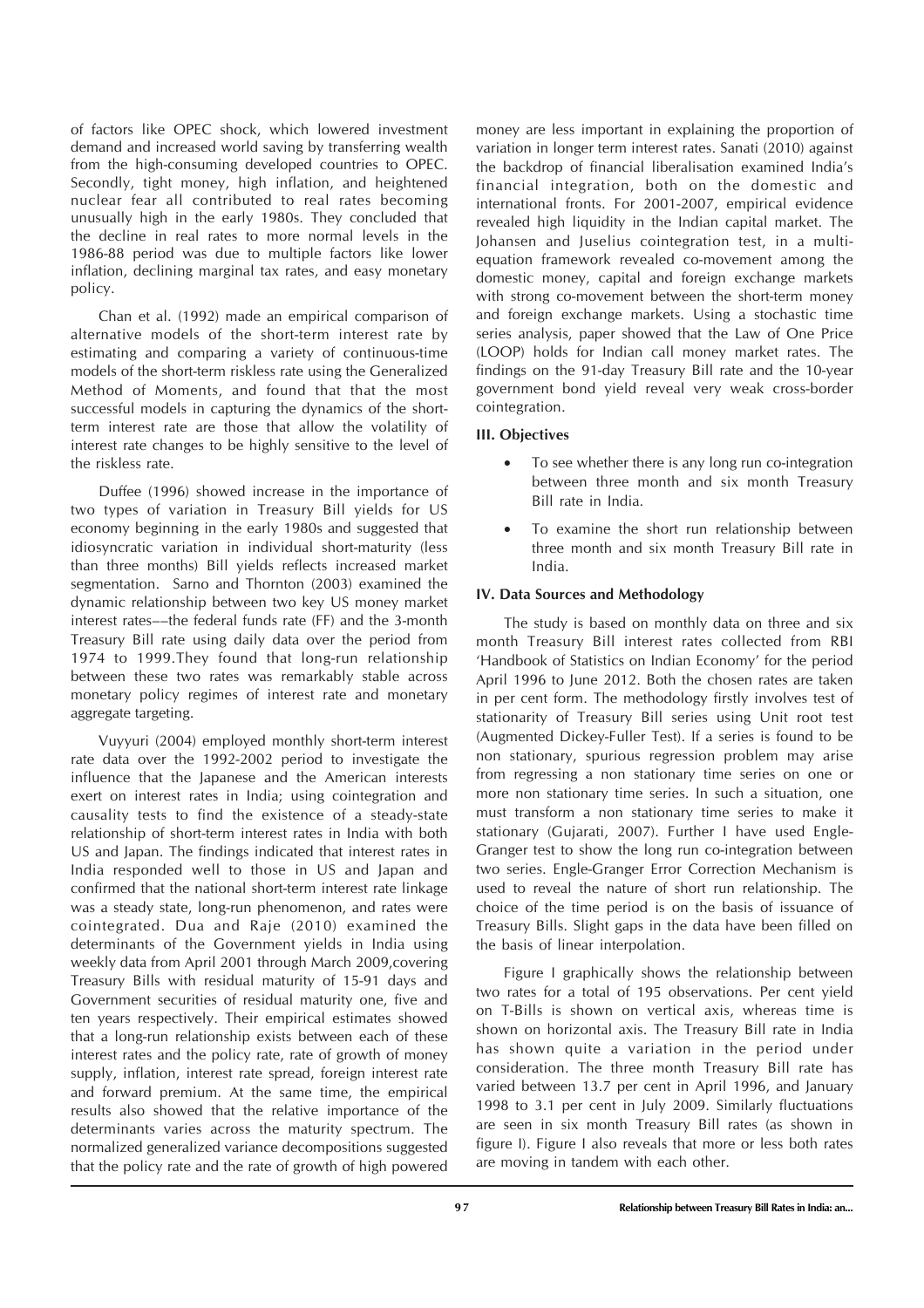of factors like OPEC shock, which lowered investment demand and increased world saving by transferring wealth from the high-consuming developed countries to OPEC. Secondly, tight money, high inflation, and heightened nuclear fear all contributed to real rates becoming unusually high in the early 1980s. They concluded that the decline in real rates to more normal levels in the 1986-88 period was due to multiple factors like lower inflation, declining marginal tax rates, and easy monetary policy.

Chan et al. (1992) made an empirical comparison of alternative models of the short-term interest rate by estimating and comparing a variety of continuous-time models of the short-term riskless rate using the Generalized Method of Moments, and found that that the most successful models in capturing the dynamics of the shortterm interest rate are those that allow the volatility of interest rate changes to be highly sensitive to the level of the riskless rate.

Duffee (1996) showed increase in the importance of two types of variation in Treasury Bill yields for US economy beginning in the early 1980s and suggested that idiosyncratic variation in individual short-maturity (less than three months) Bill yields reflects increased market segmentation. Sarno and Thornton (2003) examined the dynamic relationship between two key US money market interest rates––the federal funds rate (FF) and the 3-month Treasury Bill rate using daily data over the period from 1974 to 1999.They found that long-run relationship between these two rates was remarkably stable across monetary policy regimes of interest rate and monetary aggregate targeting.

Vuyyuri (2004) employed monthly short-term interest rate data over the 1992-2002 period to investigate the influence that the Japanese and the American interests exert on interest rates in India; using cointegration and causality tests to find the existence of a steady-state relationship of short-term interest rates in India with both US and Japan. The findings indicated that interest rates in India responded well to those in US and Japan and confirmed that the national short-term interest rate linkage was a steady state, long-run phenomenon, and rates were cointegrated. Dua and Raje (2010) examined the determinants of the Government yields in India using weekly data from April 2001 through March 2009,covering Treasury Bills with residual maturity of 15-91 days and Government securities of residual maturity one, five and ten years respectively. Their empirical estimates showed that a long-run relationship exists between each of these interest rates and the policy rate, rate of growth of money supply, inflation, interest rate spread, foreign interest rate and forward premium. At the same time, the empirical results also showed that the relative importance of the determinants varies across the maturity spectrum. The normalized generalized variance decompositions suggested that the policy rate and the rate of growth of high powered

money are less important in explaining the proportion of variation in longer term interest rates. Sanati (2010) against the backdrop of financial liberalisation examined India's financial integration, both on the domestic and international fronts. For 2001-2007, empirical evidence revealed high liquidity in the Indian capital market. The Johansen and Juselius cointegration test, in a multiequation framework revealed co-movement among the domestic money, capital and foreign exchange markets with strong co-movement between the short-term money and foreign exchange markets. Using a stochastic time series analysis, paper showed that the Law of One Price (LOOP) holds for Indian call money market rates. The findings on the 91-day Treasury Bill rate and the 10-year government bond yield reveal very weak cross-border cointegration.

# **III. Objectives**

- To see whether there is any long run co-integration between three month and six month Treasury Bill rate in India.
- To examine the short run relationship between three month and six month Treasury Bill rate in India.

# **IV. Data Sources and Methodology**

The study is based on monthly data on three and six month Treasury Bill interest rates collected from RBI 'Handbook of Statistics on Indian Economy' for the period April 1996 to June 2012. Both the chosen rates are taken in per cent form. The methodology firstly involves test of stationarity of Treasury Bill series using Unit root test (Augmented Dickey-Fuller Test). If a series is found to be non stationary, spurious regression problem may arise from regressing a non stationary time series on one or more non stationary time series. In such a situation, one must transform a non stationary time series to make it stationary (Gujarati, 2007). Further I have used Engle-Granger test to show the long run co-integration between two series. Engle-Granger Error Correction Mechanism is used to reveal the nature of short run relationship. The choice of the time period is on the basis of issuance of Treasury Bills. Slight gaps in the data have been filled on the basis of linear interpolation.

Figure I graphically shows the relationship between two rates for a total of 195 observations. Per cent yield on T-Bills is shown on vertical axis, whereas time is shown on horizontal axis. The Treasury Bill rate in India has shown quite a variation in the period under consideration. The three month Treasury Bill rate has varied between 13.7 per cent in April 1996, and January 1998 to 3.1 per cent in July 2009. Similarly fluctuations are seen in six month Treasury Bill rates (as shown in figure I). Figure I also reveals that more or less both rates are moving in tandem with each other.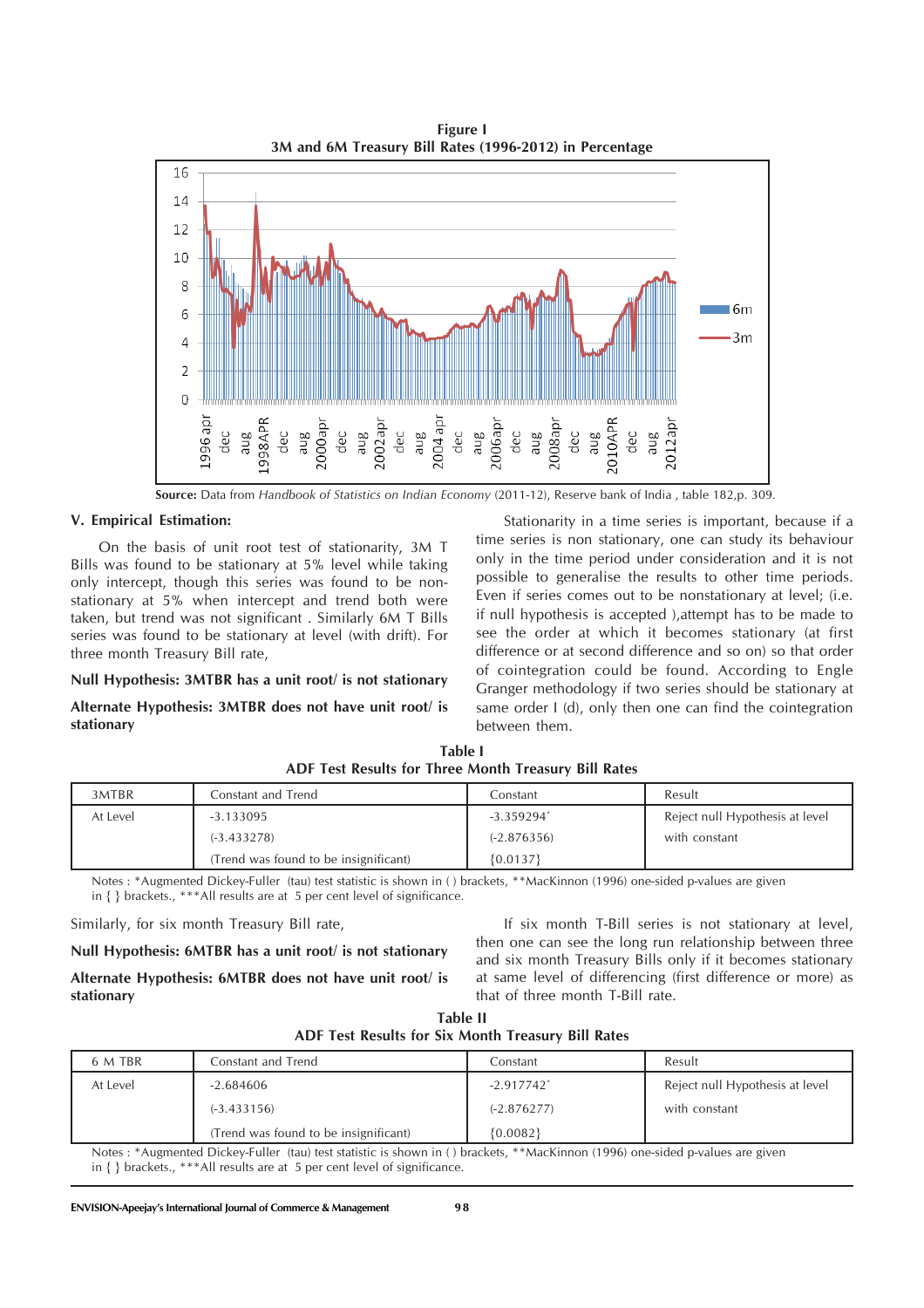16  $14$  $12$ 10  $\mathsf{R}$  $\sqrt{6m}$ 6 3m  $\Delta$  $\overline{\phantom{a}}$  $\Omega$ dec<br>aug<br>2010APR 100apr 98APR 002apr dec aug dec aug dec aug aug dec

**Figure I 3M and 6M Treasury Bill Rates (1996-2012) in Percentage**

**Source:** Data from *Handbook of Statistics on Indian Economy* (2011-12), Reserve bank of India , table 182,p. 309.

#### **V. Empirical Estimation:**

On the basis of unit root test of stationarity, 3M T Bills was found to be stationary at 5% level while taking only intercept, though this series was found to be nonstationary at 5% when intercept and trend both were taken, but trend was not significant . Similarly 6M T Bills series was found to be stationary at level (with drift). For three month Treasury Bill rate,

#### **Null Hypothesis: 3MTBR has a unit root/ is not stationary**

## **Alternate Hypothesis: 3MTBR does not have unit root/ is stationary**

Stationarity in a time series is important, because if a time series is non stationary, one can study its behaviour only in the time period under consideration and it is not possible to generalise the results to other time periods. Even if series comes out to be nonstationary at level; (i.e. if null hypothesis is accepted ),attempt has to be made to see the order at which it becomes stationary (at first difference or at second difference and so on) so that order of cointegration could be found. According to Engle Granger methodology if two series should be stationary at same order I (d), only then one can find the cointegration between them.

| 3MTBR    | Constant and Trend                    | Constant      | Result                          |
|----------|---------------------------------------|---------------|---------------------------------|
| At Level | $-3.133095$                           | $-3.359294*$  | Reject null Hypothesis at level |
|          | $(-3.433278)$                         | $(-2.876356)$ | with constant                   |
|          | (Trend was found to be insignificant) | ${0.0137}$    |                                 |

**Table I ADF Test Results for Three Month Treasury Bill Rates**

Notes : \*Augmented Dickey-Fuller (tau) test statistic is shown in ( ) brackets, \*\*MacKinnon (1996) one-sided p-values are given in { } brackets., \*\*\*All results are at 5 per cent level of significance.

Similarly, for six month Treasury Bill rate,

**Null Hypothesis: 6MTBR has a unit root/ is not stationary**

**Alternate Hypothesis: 6MTBR does not have unit root/ is stationary**

If six month T-Bill series is not stationary at level, then one can see the long run relationship between three and six month Treasury Bills only if it becomes stationary at same level of differencing (first difference or more) as that of three month T-Bill rate.

| Table II                                           |  |  |  |  |
|----------------------------------------------------|--|--|--|--|
| ADF Test Results for Six Month Treasury Bill Rates |  |  |  |  |

| 6 M TBR  | Constant and Trend                    | Constant                 | Result                          |
|----------|---------------------------------------|--------------------------|---------------------------------|
| At Level | $-2.684606$                           | $-2.917742$ <sup>*</sup> | Reject null Hypothesis at level |
|          | $(-3.433156)$                         | $(-2.876277)$            | with constant                   |
|          | (Trend was found to be insignificant) | ${0.0082}$               |                                 |

Notes : \*Augmented Dickey-Fuller (tau) test statistic is shown in ( ) brackets, \*\*MacKinnon (1996) one-sided p-values are given in { } brackets., \*\*\*All results are at 5 per cent level of significance.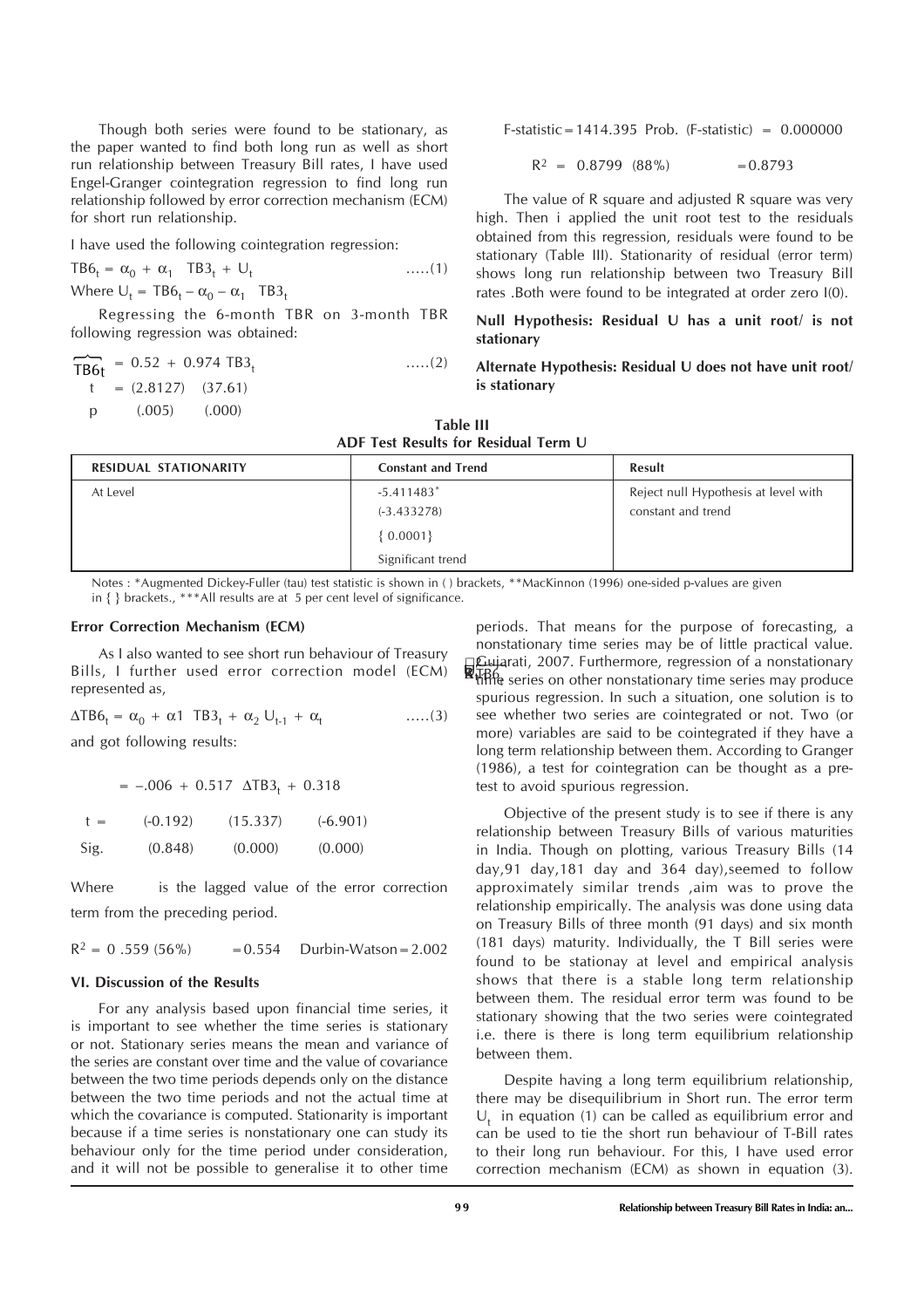Though both series were found to be stationary, as the paper wanted to find both long run as well as short run relationship between Treasury Bill rates, I have used Engel-Granger cointegration regression to find long run relationship followed by error correction mechanism (ECM) for short run relationship.

I have used the following cointegration regression:

 $TB6_t = \alpha_0 + \alpha_1$  TB3<sub>t</sub> + U<sub>t</sub>  $\ldots$  (1) Where  $U_t = TB6_t - \alpha_0 - \alpha_1$  TB3<sub>t</sub>

Regressing the 6-month TBR on 3-month TBR following regression was obtained:

$$
\begin{array}{rcl}\n\overrightarrow{TB6t} & = & 0.52 + 0.974 \text{ TB3}_{t} \\
t & = & (2.8127) & (37.61) \\
p & (0.005) & (0.000)\n\end{array} \qquad \qquad \dots (2)
$$

F-statistic=1414.395 Prob. (F-statistic) = 0.000000

$$
R^2 = 0.8799 (88\%) = 0.8793
$$

The value of R square and adjusted R square was very high. Then i applied the unit root test to the residuals obtained from this regression, residuals were found to be stationary (Table III). Stationarity of residual (error term) shows long run relationship between two Treasury Bill rates .Both were found to be integrated at order zero I(0).

**Null Hypothesis: Residual U has a unit root/ is not stationary**

## **Alternate Hypothesis: Residual U does not have unit root/ is stationary**

| Table III                            |  |  |  |  |  |
|--------------------------------------|--|--|--|--|--|
| ADF Test Results for Residual Term U |  |  |  |  |  |

| RESIDUAL STATIONARITY | <b>Constant and Trend</b> | Result                               |
|-----------------------|---------------------------|--------------------------------------|
| At Level              | $-5.411483*$              | Reject null Hypothesis at level with |
|                       | $(-3.433278)$             | constant and trend                   |
|                       | $\{0.0001\}$              |                                      |
|                       | Significant trend         |                                      |

Notes : \*Augmented Dickey-Fuller (tau) test statistic is shown in ( ) brackets, \*\*MacKinnon (1996) one-sided p-values are given in { } brackets., \*\*\*All results are at 5 per cent level of significance.

#### **Error Correction Mechanism (ECM)**

As I also wanted to see short run behaviour of Treasury Bills, I further used error correction model (ECM) represented as,

 $\Delta TB6_t = \alpha_0 + \alpha_1 TB3_t + \alpha_2 U_{t-1} + \alpha_t$  .....(3)

and got following results:

| $= -.006 + 0.517 \Delta T B3t + 0.318$ |  |
|----------------------------------------|--|
|----------------------------------------|--|

| $t =$ | $(-0.192)$ | (15.337) | $(-6.901)$ |
|-------|------------|----------|------------|
| Sig.  | (0.848)    | (0.000)  | (0.000)    |

Where is the lagged value of the error correction term from the preceding period.

 $R^2 = 0.559(56\%)$  $= 0.554$  Durbin-Watson  $= 2.002$ 

## **VI. Discussion of the Results**

For any analysis based upon financial time series, it is important to see whether the time series is stationary or not. Stationary series means the mean and variance of the series are constant over time and the value of covariance between the two time periods depends only on the distance between the two time periods and not the actual time at which the covariance is computed. Stationarity is important because if a time series is nonstationary one can study its behaviour only for the time period under consideration, and it will not be possible to generalise it to other time

2 Gujarati, 2007. Furthermore, regression of a nonstationary monstationary time series may be or little practical value.<br>  $\Box$  Eujarati, 2007. Furthermore, regression of a nonstationary<br>
"Hiftle series on other nonstationary time series may produce periods. That means for the purpose of forecasting, a nonstationary time series may be of little practical value. spurious regression. In such a situation, one solution is to see whether two series are cointegrated or not. Two (or more) variables are said to be cointegrated if they have a long term relationship between them. According to Granger (1986), a test for cointegration can be thought as a pretest to avoid spurious regression.

Objective of the present study is to see if there is any relationship between Treasury Bills of various maturities in India. Though on plotting, various Treasury Bills (14 day,91 day,181 day and 364 day),seemed to follow approximately similar trends ,aim was to prove the relationship empirically. The analysis was done using data on Treasury Bills of three month (91 days) and six month (181 days) maturity. Individually, the T Bill series were found to be stationay at level and empirical analysis shows that there is a stable long term relationship between them. The residual error term was found to be stationary showing that the two series were cointegrated i.e. there is there is long term equilibrium relationship between them.

Despite having a long term equilibrium relationship, there may be disequilibrium in Short run. The error term  $U_t$  in equation (1) can be called as equilibrium error and can be used to tie the short run behaviour of T-Bill rates to their long run behaviour. For this, I have used error correction mechanism (ECM) as shown in equation (3).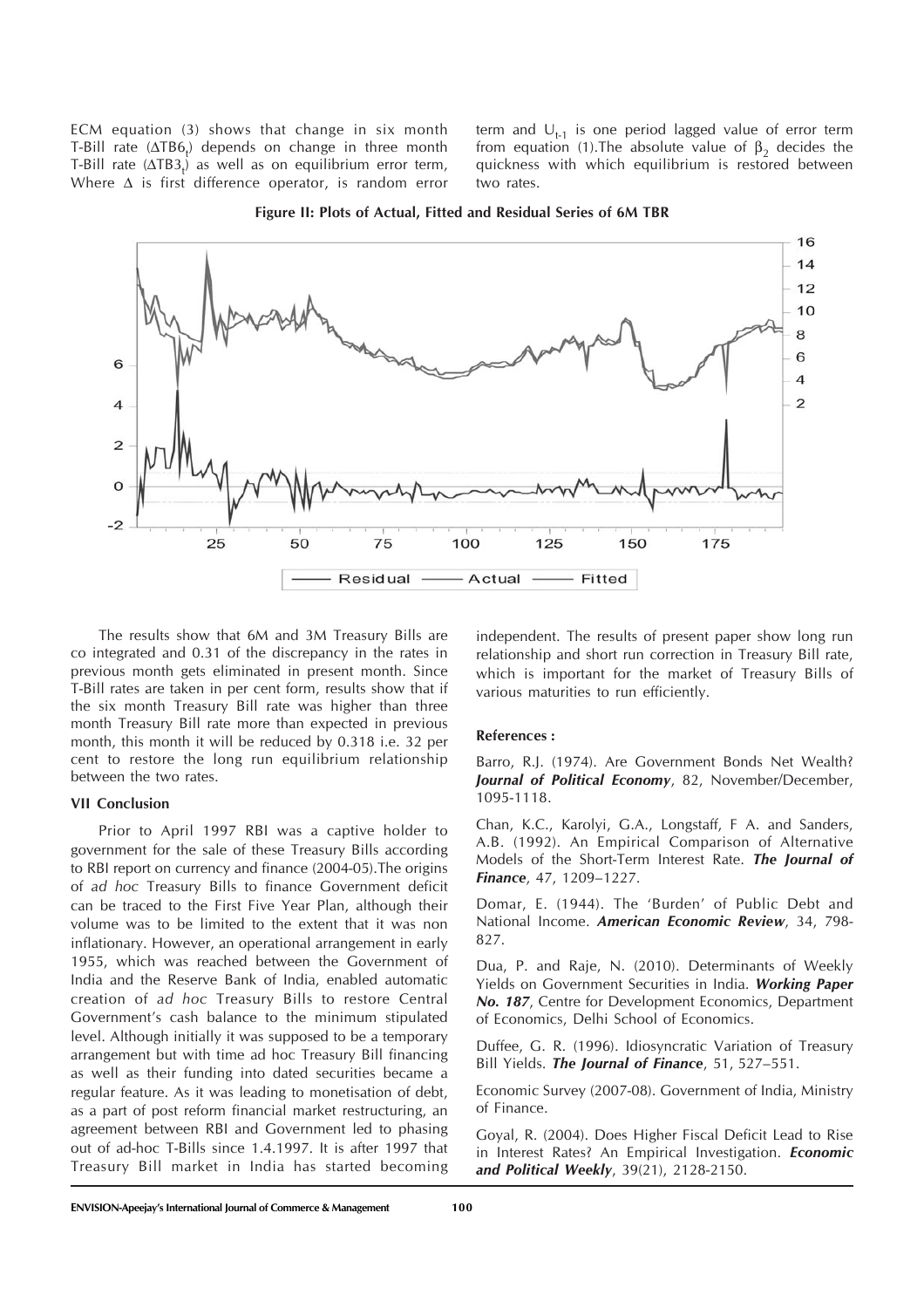ECM equation (3) shows that change in six month T-Bill rate ( $\Delta$ TB6<sub>t</sub>) depends on change in three month T-Bill rate  $(\Delta TB3_t)$  as well as on equilibrium error term, Where  $\Delta$  is first difference operator, is random error

term and  $U_{t-1}$  is one period lagged value of error term from equation (1). The absolute value of  $β_2$  decides the quickness with which equilibrium is restored between two rates.



**Figure II: Plots of Actual, Fitted and Residual Series of 6M TBR**

The results show that 6M and 3M Treasury Bills are co integrated and 0.31 of the discrepancy in the rates in previous month gets eliminated in present month. Since T-Bill rates are taken in per cent form, results show that if the six month Treasury Bill rate was higher than three month Treasury Bill rate more than expected in previous month, this month it will be reduced by 0.318 i.e. 32 per cent to restore the long run equilibrium relationship between the two rates.

#### **VII Conclusion**

Prior to April 1997 RBI was a captive holder to government for the sale of these Treasury Bills according to RBI report on currency and finance (2004-05).The origins of *ad hoc* Treasury Bills to finance Government deficit can be traced to the First Five Year Plan, although their volume was to be limited to the extent that it was non inflationary. However, an operational arrangement in early 1955, which was reached between the Government of India and the Reserve Bank of India, enabled automatic creation of *ad hoc* Treasury Bills to restore Central Government's cash balance to the minimum stipulated level. Although initially it was supposed to be a temporary arrangement but with time ad hoc Treasury Bill financing as well as their funding into dated securities became a regular feature. As it was leading to monetisation of debt, as a part of post reform financial market restructuring, an agreement between RBI and Government led to phasing out of ad-hoc T-Bills since 1.4.1997. It is after 1997 that Treasury Bill market in India has started becoming

independent. The results of present paper show long run relationship and short run correction in Treasury Bill rate, which is important for the market of Treasury Bills of various maturities to run efficiently.

#### **References :**

Barro, R.J. (1974). Are Government Bonds Net Wealth? *Journal of Political Economy*, 82, November/December, 1095-1118.

Chan, K.C., Karolyi, G.A., Longstaff, F A. and Sanders, A.B. (1992). An Empirical Comparison of Alternative Models of the Short-Term Interest Rate. *The Journal of Finance*, 47, 1209–1227.

Domar, E. (1944). The 'Burden' of Public Debt and National Income. *American Economic Review*, 34, 798- 827.

Dua, P. and Raje, N. (2010). Determinants of Weekly Yields on Government Securities in India. *Working Paper No. 187*, Centre for Development Economics, Department of Economics, Delhi School of Economics.

Duffee, G. R. (1996). Idiosyncratic Variation of Treasury Bill Yields. *The Journal of Finance*, 51, 527–551.

Economic Survey (2007-08). Government of India, Ministry of Finance.

Goyal, R. (2004). Does Higher Fiscal Deficit Lead to Rise in Interest Rates? An Empirical Investigation. *Economic and Political Weekly*, 39(21), 2128-2150.